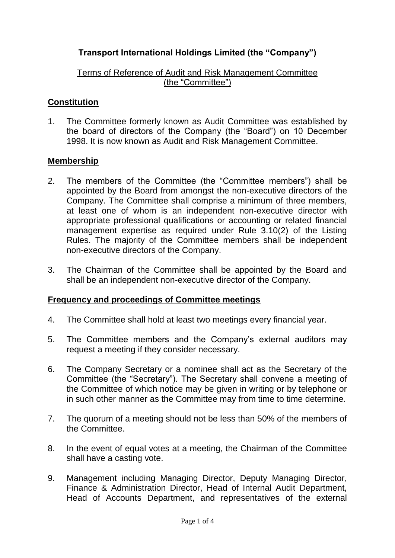# **Transport International Holdings Limited (the "Company")**

## Terms of Reference of Audit and Risk Management Committee (the "Committee")

## **Constitution**

1. The Committee formerly known as Audit Committee was established by the board of directors of the Company (the "Board") on 10 December 1998. It is now known as Audit and Risk Management Committee.

#### **Membership**

- 2. The members of the Committee (the "Committee members") shall be appointed by the Board from amongst the non-executive directors of the Company. The Committee shall comprise a minimum of three members, at least one of whom is an independent non-executive director with appropriate professional qualifications or accounting or related financial management expertise as required under Rule 3.10(2) of the Listing Rules. The majority of the Committee members shall be independent non-executive directors of the Company.
- 3. The Chairman of the Committee shall be appointed by the Board and shall be an independent non-executive director of the Company.

#### **Frequency and proceedings of Committee meetings**

- 4. The Committee shall hold at least two meetings every financial year.
- 5. The Committee members and the Company's external auditors may request a meeting if they consider necessary.
- 6. The Company Secretary or a nominee shall act as the Secretary of the Committee (the "Secretary"). The Secretary shall convene a meeting of the Committee of which notice may be given in writing or by telephone or in such other manner as the Committee may from time to time determine.
- 7. The quorum of a meeting should not be less than 50% of the members of the Committee.
- 8. In the event of equal votes at a meeting, the Chairman of the Committee shall have a casting vote.
- 9. Management including Managing Director, Deputy Managing Director, Finance & Administration Director, Head of Internal Audit Department, Head of Accounts Department, and representatives of the external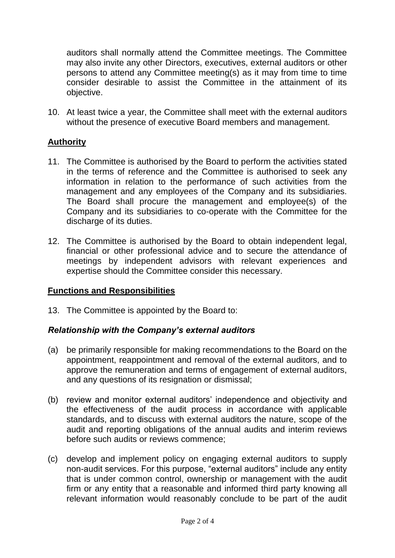auditors shall normally attend the Committee meetings. The Committee may also invite any other Directors, executives, external auditors or other persons to attend any Committee meeting(s) as it may from time to time consider desirable to assist the Committee in the attainment of its objective.

10. At least twice a year, the Committee shall meet with the external auditors without the presence of executive Board members and management.

## **Authority**

- 11. The Committee is authorised by the Board to perform the activities stated in the terms of reference and the Committee is authorised to seek any information in relation to the performance of such activities from the management and any employees of the Company and its subsidiaries. The Board shall procure the management and employee(s) of the Company and its subsidiaries to co-operate with the Committee for the discharge of its duties.
- 12. The Committee is authorised by the Board to obtain independent legal, financial or other professional advice and to secure the attendance of meetings by independent advisors with relevant experiences and expertise should the Committee consider this necessary.

## **Functions and Responsibilities**

13. The Committee is appointed by the Board to:

## *Relationship with the Company's external auditors*

- (a) be primarily responsible for making recommendations to the Board on the appointment, reappointment and removal of the external auditors, and to approve the remuneration and terms of engagement of external auditors, and any questions of its resignation or dismissal;
- (b) review and monitor external auditors' independence and objectivity and the effectiveness of the audit process in accordance with applicable standards, and to discuss with external auditors the nature, scope of the audit and reporting obligations of the annual audits and interim reviews before such audits or reviews commence;
- (c) develop and implement policy on engaging external auditors to supply non-audit services. For this purpose, "external auditors" include any entity that is under common control, ownership or management with the audit firm or any entity that a reasonable and informed third party knowing all relevant information would reasonably conclude to be part of the audit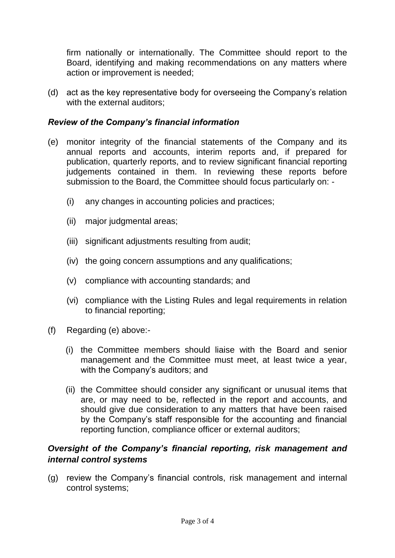firm nationally or internationally. The Committee should report to the Board, identifying and making recommendations on any matters where action or improvement is needed;

(d) act as the key representative body for overseeing the Company's relation with the external auditors:

## *Review of the Company's financial information*

- (e) monitor integrity of the financial statements of the Company and its annual reports and accounts, interim reports and, if prepared for publication, quarterly reports, and to review significant financial reporting judgements contained in them. In reviewing these reports before submission to the Board, the Committee should focus particularly on: -
	- (i) any changes in accounting policies and practices;
	- (ii) major judgmental areas;
	- (iii) significant adjustments resulting from audit;
	- (iv) the going concern assumptions and any qualifications;
	- (v) compliance with accounting standards; and
	- (vi) compliance with the Listing Rules and legal requirements in relation to financial reporting;
- (f) Regarding (e) above:-
	- (i) the Committee members should liaise with the Board and senior management and the Committee must meet, at least twice a year, with the Company's auditors; and
	- (ii) the Committee should consider any significant or unusual items that are, or may need to be, reflected in the report and accounts, and should give due consideration to any matters that have been raised by the Company's staff responsible for the accounting and financial reporting function, compliance officer or external auditors;

## *Oversight of the Company's financial reporting, risk management and internal control systems*

(g) review the Company's financial controls, risk management and internal control systems;